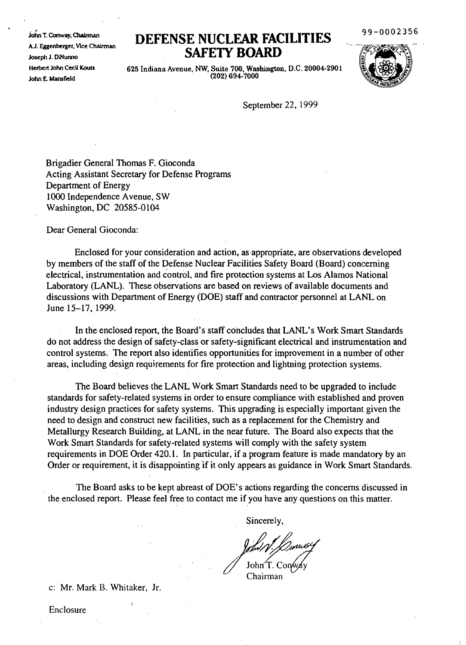John T. Conway, ChaIrman AJ. Eggenberger, Vice Chalrman Joseph J. DiNunno Herbert John CecU Kouts John E. Mansfield

# **DEFENSE NUCLEAR FACILITIES SAFElY BOARD**

99-0002356



625 Indiana Avenue, NW, Suite 700, Washington, D.C. 20004·2901 (202) 694-7000

September 22, 1999

Brigadier General Thomas F. Gioconda Acting Assistant Secretary for Defense Programs Department of Energy 1000 Independence Avenue, SW Washington, DC 20585-0104

Dear General Gioconda:

Enclosed for your consideration and action, as appropriate, are observations developed by members of the staff of the Defense Nuclear Facilities Safety Board (Board) concerning electrical, instrumentation and control, and fire protection systems at Los Alamos National Laboratory (LANL). These observations are based on reviews of available documents and discussions with Department of Energy (DOE) staff and contractor personnel at LANL on June 15-17, 1999.

In the enclosed report, the Board's staff concludes that LANL's Work Smart Standards do not address the design of safety-class or safety-significant electrical and instrumentation and control systems. The report also identifies opportunities for improvement in a number of other areas, including design requirements for fire protection and lightning protection systems.

The Board believes the LANL Work Smart Standards need to be upgraded to include standards for safety-related systems in order to ensure compliance with established and proven industry design practices for safety systems. This upgrading is especially important given the need to design and construct new facilities, such as areplacement for the Chemistry and Metallurgy Research Building, at LANL in the near future. The Board also expects that the Work Smart Standards for safety-related systems will comply with the safety system requirements in DOE Order 420.1. In particular, if a program feature is made mandatory by an Order or requirement, it is disappointing if it only appears as guidance in Work Smart Standards.

The Board asks to be kept abreast of DOE's actions regarding the concerns discussed in the enclosed report. Please feel free to contact me if you have any questions on this matter.

Sincerely,

*informal / Cumberty*<br>/ John T. Conway<br>Chairman

c: Mr. Mark B. Whitaker, Jr.

 $\overline{\mathbf{A}}$ 

Enclosure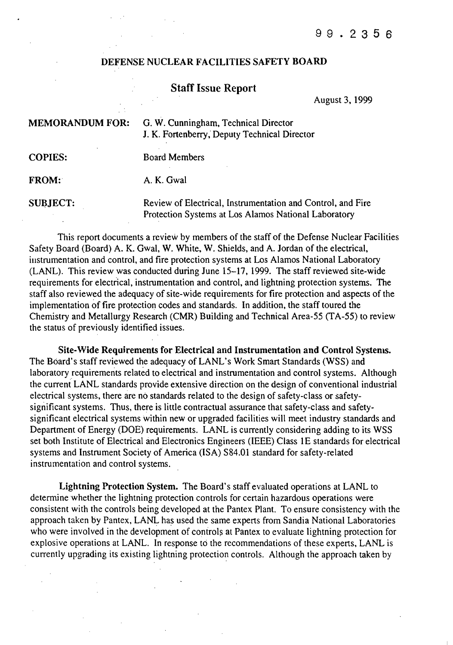### DEFENSE NUCLEAR FACILITIES SAFETY BOARD

## Staff Issue Report

August 3, 1999

| <b>MEMORANDUM FOR:</b> | G. W. Cunningham, Technical Director<br>J. K. Fortenberry, Deputy Technical Director                                |
|------------------------|---------------------------------------------------------------------------------------------------------------------|
| <b>COPIES:</b>         | <b>Board Members</b>                                                                                                |
| <b>FROM:</b>           | A. K. Gwal                                                                                                          |
| <b>SUBJECT:</b>        | Review of Electrical, Instrumentation and Control, and Fire<br>Protection Systems at Los Alamos National Laboratory |

This report documents a review by members of the staff of the Defense Nuclear Facilities Safety Board (Board) A. K. Gwal, W. White, W. Shields, and A. Jordan of the electrical, instrumentation and control, and fire protection systems at Los Alamos National Laboratory (LANL). This review was conducted during June 15-17, 1999. The staff reviewed site-wide requirements for electrical, instrumentation and control, and lightning protection systems. The staff also reviewed the adequacy of site-wide requirements for fire protection and aspects of the implementation of fire protection codes and standards. In addition, the staff toured the Chemistry and Metallurgy Research (CMR) Building and Technical Area-55 (TA-55) to review the status of previously identified issues.

Site-Wide Requjrements for Electrical and Instrumentation and Control Systems. The Board's staff reviewed the adequacy of LANL's Work Smart Standards (WSS) and laboratory requirements related to electrical and instrumentation and control systems. Although the current LANL standards provide extensive direction on the design of conventional industrial electrical systems, there are no standards related to the design of safety-class or safetysignificant systems. Thus, there is little contractual assurance that safety-class and safetysignificant electrical systems within new or upgraded facilities will meet industry standards and Department of Energy (DOE) requirements. LANL is currently considering adding to its WSS set both Institute of Electrical and Electronics Engineers (IEEE) Class 1E standards for electrical systems and Instrument Society of America (ISA) S84.01 standard for safety-related instrumentation and control systems.

Lightning Protection System. The Board's staff evaluated operations at LANL to determine whether the lightning protection controls for certain hazardous operations were consistent with the controls being developed at the Pantex Plant. To ensure consistency with the approach taken by Pantex, LANL has used the same experts from Sandia National Laboratories who were involved in the development of controls at Pantex to evaluate lightning protection for explosive operations at LANL. In response to the recommendations of these experts, LANL is currently upgrading its existing lightning protection controls. Although the approach taken by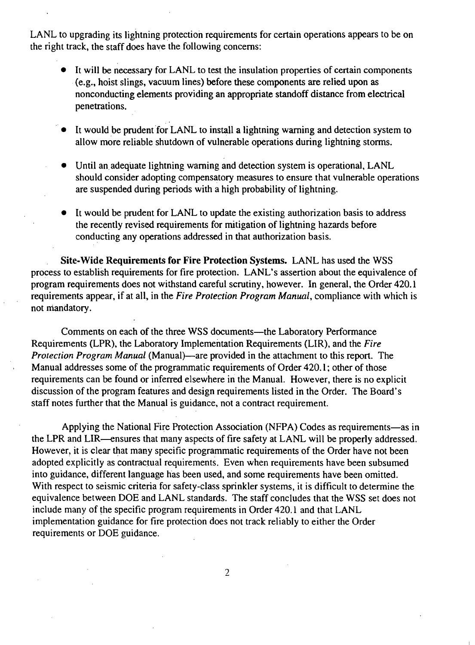LANL to upgrading its lightning protection requirements for certain operations appears to be on the right track, the staff does have the following concerns:

- It will be necessary for LANL to test the insulation properties of certain components (e.g., hoist slings, vacuum lines) before these components are relied upon as nonconducting elements providing an appropriate standoff distance from electrical penetrations.
- It would be prudent for LANL to install a lightning warning and detection system to allow more reliable shutdown of vulnerable operations during lightning storms.
- Until an adequate lightning warning and detection system is operational, LANL should consider adopting compensatory measures to ensure that vulnerable operations are suspended during periods with a high probability of lightning.
- It would be prudent for LANL to update the existing authorization basis to address the recently revised requirements for mitigation of lightning hazards before conducting any operations addressed in that authorization basis.

Site-Wide Requirements for Fire Protection Systems. LANL has used the WSS process to establish requirements for fire protection. LANL's assertion about the equivalence of program requirements does not withstand careful scrutiny, however. In general, the Order 420.1 requirements appear, if at all, in the *Fire Protection Program Manual,* compliance with which is not mandatory.

Comments on each of the three WSS documents-the Laboratory Performance Requirements (LPR), the Laboratory Implementation Requirements (LIR), and the *Fire Protection Program Manual* (Manual)—are provided in the attachment to this report. The Manual addresses some of the programmatic requirements of Order 420.1 ; other of those requirements can be found or inferred elsewhere in the Manual. However, there is no explicit discussion of the program features and design requirements listed in the Order. The Board's staff notes further that the Manual is guidance, not a contract requirement.

Applying the National Fire Protection Association (NFPA) Codes as requirements-as in the LPR and LIR—ensures that many aspects of fire safety at LANL will be properly addressed. However, it is clear that many specific programmatic requirements of the Order have not been adopted explicitly as contractual requirements. Even when requirements have been subsumed into guidance, different language has been used, and some requirements have been omitted. With respect to seismic criteria for safety-class sprinkler systems, it is difficult to determine the equivalence between DOE and LANL standards. The staff concludes that the WSS set does not include many of the specific program requirements in Order 420.1 and that LANL implementation guidance for fire protection does not track reliably to either the Order requirements or DOE guidance.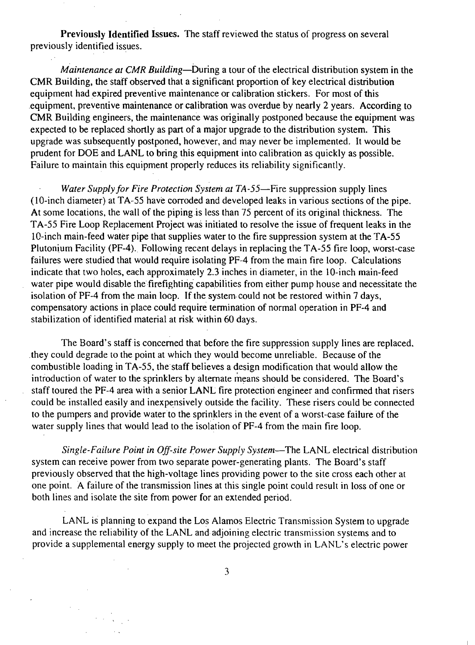Previously Identified Issues. The staff reviewed the status of progress on several previously identified issues.

*Maintenance at CMR Building-During* a tour of the electrical distribution system in the CMR Building, the staff observed that a significant proportion of key electrical distribution equipment had expired preventive maintenance or calibration stickers. For most of this .equipment, preventive maintenance or calibration was overdue by nearly 2 years. According to CMR Building engineers, the maintenance was originally postponed because the equipment was expected to be replaced shortly as part of a major upgrade to the distribution system. This upgrade was subsequently postponed, however, and may never be implemented. It would be prudent for DOE and LANL to bring this equipment into calibration as quickly as possible. Failure to maintain this equipment properly reduces its reliability significantly.

*Water Supply for Fire Protection System at TA-55-Fire* suppression supply lines (lO-inch diameter) at TA-55 have corroded and developed leaks in various sections of the pipe. At some locations, the wall of the piping is less than 75 percent of its original thickness. The TA-55 Fire Loop Replacement Project was initiated to resolve the issue of frequent leaks in the lO-inch main-feed water pipe that supplies water to the fire suppression system at the TA-55 Plutonium Facility (PF-4). Following recent delays in replacing the TA-55 fire loop, worst-case failures were studied that would require isolating PF-4 from the main fire loop. Calculations indicate that two holes, each approximately 2.3 inches in diameter, in the lO-inch main-feed water pipe would disable the firefighting capabilities from either pump house and necessitate the isolation of PF-4 from the main locp. If the system could not be restored within 7 days, compensatory actions in place could require termination of normal operation in PF-4 and stabilization of identified material at risk within 60 days.

The Board's staff is concerned that before the fire suppression supply lines are replaced. they could degrade to the point at which they would become unreliable. Because of the combustible loading in TA-55, the staff believes a design modification that would allow the introduction of water to the sprinklers by alternate means should be considered. The Board's staff toured the PF-4 area with a senior LANL fire protection engineer and confirmed that risers could be installed easily and inexpensively outside the facility. These risers could be connected to the pumpers and provide water to the sprinklers in the event of a worst-case failure of the water supply lines that would lead to the isolation of PF-4 from the main fire loop.

*Single-Failure Point in Off-site power Supply System-The* LANL electrical distribution system can receive power from two separate power-generating plants. The Board's staff previously observed that the high-voltage lines providing power to the site cross each other at one point. A failure of the transmission lines at this single point could result in loss of one or both lines and isolate the site from power for an extended period.

LANL is planning to expand the Los Alamos Electric Transmission System to upgrade and increase the reliability of the LANL and adjoining electric transmission systems and to provide a supplemental energy supply to meet the projected growth in LANL's electric power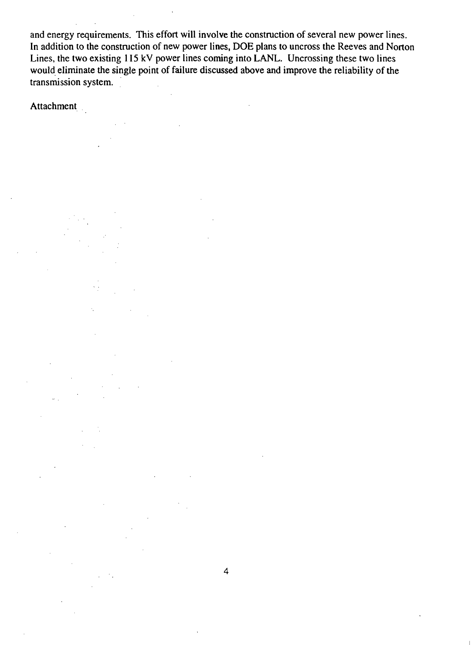and energy requirements. This effort will involve the construction of several new power lines. In addition to the construction of new power lines, DOE plans to uncross the Reeves and Norton Lines, the two existing 115 kV power lines coming into LANL. Uncrossing these two lines would eliminate the single point of failure discussed above and improve the reliability of the transmission system.

**Attachment** 

4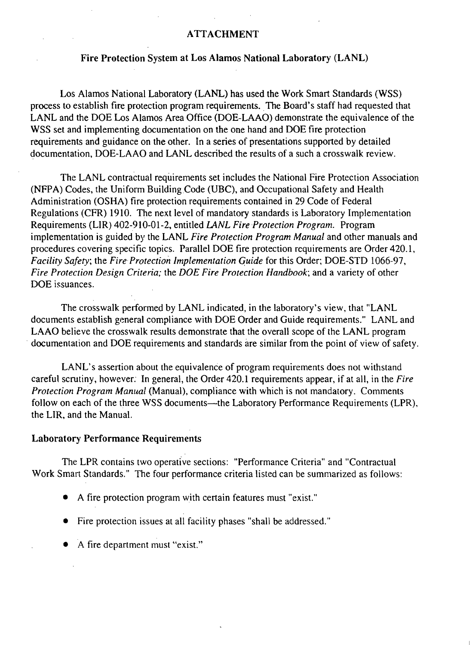### ATTACHMENT

#### Fire Protection System at Los Alamos National Laboratory (LANL)

Los Alamos National Laboratory (LANL) has used the Work Smart Standards (WSS) process to establish fire protection program requirements. \_The Board's staff had requested that LANL and the DOE Los Alamos Area Office (DOE-LAAO) demonstrate the equivalence of the WSS set and implementing documentation on the one hand and DOE fire protection requirements and guidance on the other. In a series of presentations supported by detailed documentation, DOE-LAAO and LANL described the results of a such a crosswalk review.

The LANL contractual requirements set includes the National Fire Protection Association (NFPA) Codes, the Uniform Building Code (UBC), and Occupational Safety and Health Administration (OSHA) fire protection requirements contained in 29 Code of Federal Regulations (CFR) 1910. The next level of mandatory standards is Laboratory Implementation Requirements (LIR) 402-910-01-2, entitled *LANL Fire Protection Program.* Program implementation is guided by the LANL *Fire Protection Program Manual* and other manuals and procedures covering specific topics. Parallel DOE fire protection requirements are Order 420.1, *Facility Safety;* the *Fire- Protection Implementation quide* for this Order; DOE-STD 1066-97, *Fire Protection Design Criteria;* the *DOE Fire Protection Handbook;* and a variety of other DOE issuances.

The crosswalk performed by LANL indicated, in the laboratory's view, that "LANL documents establish general compliance with DOE Order and Guide requirements." LANL and LAAO believe the crosswalk results demonstrate that the overall scope of the LANL program - documentation and DOE requirements and standards are similar from the point of view of safety.

LANL's assertion about the equivalence of program requirements does not withstand careful scrutiny, however: In general, the Order 420.1 requirements appear, if at all, in the *Fire Protection Program Manual* (Manual), compliance with which is not mandatory. Comments follow on each of the three WSS documents-the Laboratory Performance Requirements (LPR), the LIR, and the Manual.

#### Laboratory Performance Requirements

The LPR contains two operative sections: "Performance Criteria" and "Contractual Work Smart Standards." The four performance criteria listed can be summarized as follows:

- A fire protection program with certain features must "exist."
- Fire protection issues at all facility phases "shall be addressed."
- A fire department must "exist."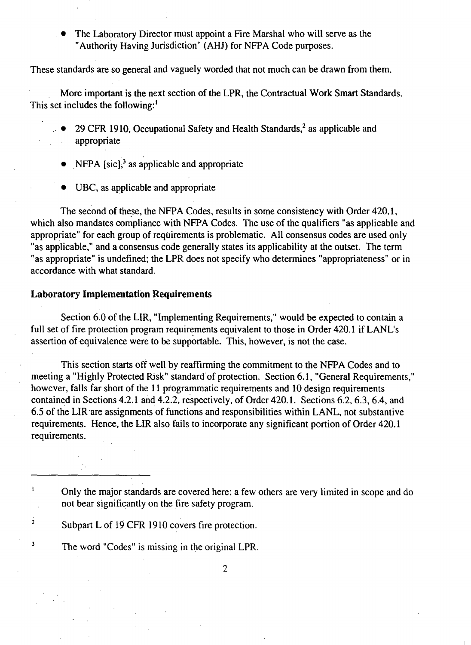The Laboratory Director must appoint a Fire Marshal who will serve as the "Authority Having Jurisdiction" (AHJ) for NFPA Code purposes.

These standards are so general and vaguely worded that not much can be drawn from them.

More important is the next section of the LPR, the Contractual Work Smart Standards. This set includes the following:'

- 29 CFR 1910, Occupational Safety and Health Standards, $<sup>2</sup>$  as applicable and</sup> appropriate
- NFPA  $[sic]$ <sup>3</sup> as applicable and appropriate
- UBC, as applicable and appropriate

The second of these, the NFPA Codes, results in some consistency with Order 420.1, which also mandates compliance with NFPA Codes. The use of the qualifiers "as applicable and appropriate" for each group of requirements is problematic. All consensus codes are used only "as applicable," and a consensus code generally states its applicability at the outset. The term "as appropriate" is undefined; the LPR does not specify who determines "appropriateness" or in accordance with what standard.

## Laboratory Implementation Requirements

Section 6.0 of the LIR, "Implementing Requirements," would be expected to contain a full set of fire protection program requirements equivalent to those in Order 420.1 if LANL's assertion of equivalence were to be supportable. This, however, is not the case.

This section starts off well by reaffirming the commitment to the NFPA Codes and to meeting a "Highly Protected Risk" standard' of protection. Section 6.1, "General Requirements," however, falls far short of the 11 programmatic requirements and 10 design requirements contained in Sections 4.2.1 and 4.2.2, respectively, of Order 420.1. Sections 6.2, 6.3, 6.4, and 6.5 of the LIR are assignments of functions and responsibilities within LANL, not substantive requirements. Hence, the LIR also fails to incorporate any significant portion of Order 420.1 requirements.

Only the major standards are covered here; a few others are very limited in scope and do not bear significantly on the fire safety program.

2 Subpart L of 19 CFR 1910 covers fire protection.

3

 $\mathbf{I}$ 

The word "Codes" is missing in the original LPR.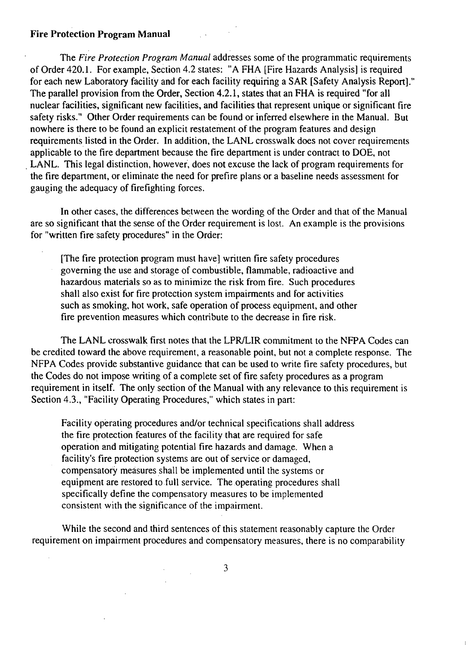#### **Fire Protection Program Manual**

The *Fire Protection Program Manual* addresses some of the programmatic requirements of Order 420.1. For example, Section 4.2 states: "A FHA [Fire Hazards Analysis] is required for each new Laboratory facility and for each facility requiring a SAR [Safety Analysis Report]." The parallel provision from the Order, Section 4.2.1, states that an FHA is required "for all nuclear facilities, significant new facilities, and facilities that represent unique or significant fire safety risks." Other Order requirements can be found or inferred elsewhere in the Manual. But nowhere is there to be found an explicit restatement of the program features and design requirements listed in the Order. In addition, the LANL crosswalk does not cover requirements applicable to the fire department because the fire department is under contract to DOE, not LANL. This legal distinction, however, does not excuse the lack of program requirements for the fire department, or eliminate the need for prefire plans or a baseline needs assessment for gauging the adequacy of firefighting forces.

In other cases, the differences between the wording of the Order and that of the Manual are so significant that the sense of the Order requirement is lost. An example is the provisions for "written fire safety procedures" in the Order:

[The fire protection program must have] written fire safety procedures governing the use and storage of combustible, flammable, radioactive and hazardous materials so as to minimize the risk from fire. Such procedures shall also exist for fire protection system impairments and for activities such as smoking, hot work, safe operation of process equipment, and other fire prevention measures which contribute to the decrease in fire risk.

The LANL crosswalk first notes that the LPR/LIR commitment to the NFPA Codes can be credited toward the above requirement, a reasonable point, but not a complete response. The NFPA Codes provide substantive guidance that can be used to write fire safety procedures, but the Codes do not impose writing of a complete set of fire safety procedures as a program requirement in itself. The only section of the Manual with any relevance to this requirement is Section 4.3., "Facility Operating Procedures," which states in part:

Facility operating procedures and/or technical specifications shall address the fire protection features of the facility that are required for safe operation and mitigating potential fire hazards and damage. When a facility's fire protection systems are out of service or damaged, compensatory measures shall be implemented until the systems or equipment are restored to full service. The operating procedures shall specifically define the compensatory measures to be implemented consistent with the significance of the impairment.

While the second and third sentences of this statement reasonably capture the Order requirement on impairment procedures and compensatory measures, there is no comparability

3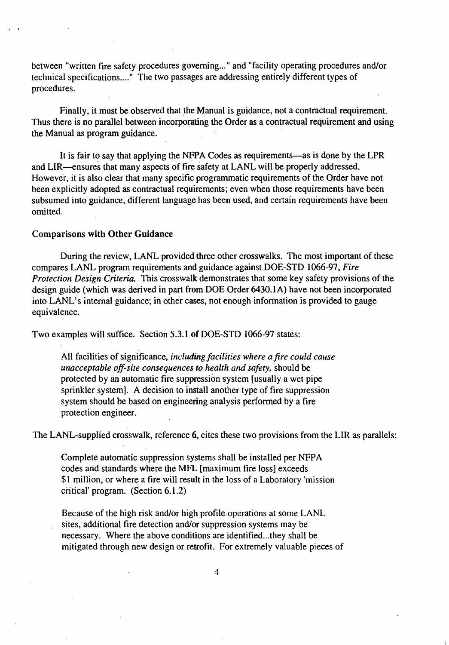between "written fire safety procedures governing... " and "facility operating procedures and/or technical specifications...." The two passages are addressing entirely different types of procedures.

Finally, it must be observed that the Manual is guidance, not a contractual requirement. Thus there is no parallel between incorporating the Order as a contractual requirement and using the Manual as program guidance.

It is fair to say that applying the NFPA Codes as requirements—as is done by the LPR and LIR—ensures that many aspects of fire safety at LANL will be properly addressed. However, it is also clear that many specific programmatic requirements of the Order have not been explicitly adopted as contractual requirements; even when those requirements have been subsumed into guidance, different language has been used, and certain requirements have been omitted.

#### Comparisons with Other Guidance

During the review, LANL provided three other crosswalks. The most important of these compares LANL program requirements and guidance against DOE-STD 1066-97, *Fire Protection Design Criteria.* This crosswalk demonstrates that some key safety provisions of the design guide (which was derived in part from DOE Order 6430.1A) have not been incorporated into LANL's internal guidance; in other cases, not enough information is provided to gauge equivalence.

Two examples will suffice. Section 5.3.1 of DOE-STD 1066-97 states:

All facilities of significance, *including facilities where a fire could cause unacceptable off-site consequences to health and safety,* should be protected by an automatic fire suppression system [usually a wet pipe sprinkler system]. A decision to install another type of fire suppression system should be based on engineering analysis performed by a fire protection engineer.

The LANL-supplied crosswalk, reference 6, cites these two provisions from the LIR as parallels:

Complete automatic suppression systems shall be installed per NFPA codes and standards where the MFL [maximum fire loss] exceeds \$1 million, or where a fire will result in the loss of a Laboratory 'mission critical' program. (Section 6.1.2)

Because of the high risk and/or high profile operations at some LANL sites, additional fire detection and/or suppression systems may be necessary. Where the above conditions are identified...they shall be mitigated through new design or retrofit. For extremely valuable pieces of